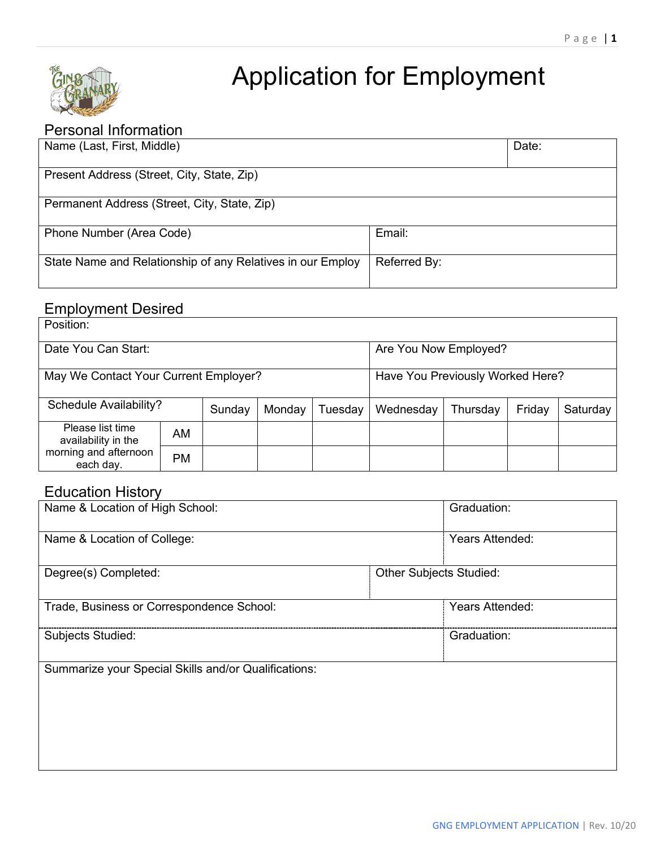

# Application for Employment

### Personal Information

| Name (Last, First, Middle)                                 |              | Date: |  |  |
|------------------------------------------------------------|--------------|-------|--|--|
| Present Address (Street, City, State, Zip)                 |              |       |  |  |
| Permanent Address (Street, City, State, Zip)               |              |       |  |  |
| Phone Number (Area Code)                                   | Email:       |       |  |  |
| State Name and Relationship of any Relatives in our Employ | Referred By: |       |  |  |

# Employment Desired

| Position:                               |           |        |                                  |         |           |          |        |          |
|-----------------------------------------|-----------|--------|----------------------------------|---------|-----------|----------|--------|----------|
| Date You Can Start:                     |           |        | Are You Now Employed?            |         |           |          |        |          |
| May We Contact Your Current Employer?   |           |        | Have You Previously Worked Here? |         |           |          |        |          |
| <b>Schedule Availability?</b>           |           | Sunday | Monday                           | Tuesday | Wednesday | Thursday | Friday | Saturday |
| Please list time<br>availability in the | AM        |        |                                  |         |           |          |        |          |
| morning and afternoon<br>each day.      | <b>PM</b> |        |                                  |         |           |          |        |          |

## Education History

| Name & Location of High School:                      | Graduation:                    |
|------------------------------------------------------|--------------------------------|
| Name & Location of College:                          | Years Attended:                |
| Degree(s) Completed:                                 | <b>Other Subjects Studied:</b> |
| Trade, Business or Correspondence School:            | Years Attended:                |
| <b>Subjects Studied:</b>                             | Graduation:                    |
| Summarize your Special Skills and/or Qualifications: |                                |
|                                                      |                                |
|                                                      |                                |
|                                                      |                                |